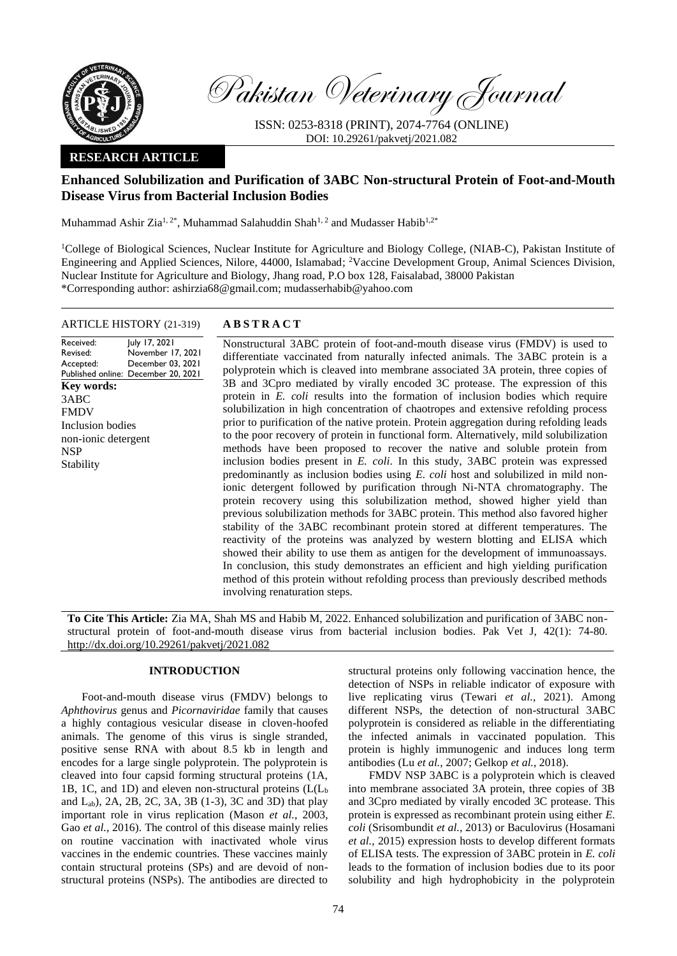

Pakistan Veterinary Journal

ISSN: 0253-8318 (PRINT), 2074-7764 (ONLINE) DOI: 10.29261/pakvetj/2021.082

# **RESEARCH ARTICLE**

# **Enhanced Solubilization and Purification of 3ABC Non-structural Protein of Foot-and-Mouth Disease Virus from Bacterial Inclusion Bodies**

Muhammad Ashir Zia<sup>1, 2\*</sup>, Muhammad Salahuddin Shah<sup>1, 2</sup> and Mudasser Habib<sup>1, 2\*</sup>

<sup>1</sup>College of Biological Sciences, Nuclear Institute for Agriculture and Biology College, (NIAB-C), Pakistan Institute of Engineering and Applied Sciences, Nilore, 44000, Islamabad; <sup>2</sup>Vaccine Development Group, Animal Sciences Division, Nuclear Institute for Agriculture and Biology, Jhang road, P.O box 128, Faisalabad, 38000 Pakistan \*Corresponding author: [ashirzia68@gmail.com;](mailto:ashirzia68@gmail.com) mudasserhabib@yahoo.com

## ARTICLE HISTORY (21-319) **A B S T R A C T**

Received: Revised: Accepted: Published online: December 20, 2021 July 17, 2021 November 17, 2021 December 03, 2021 **Key words:**  3ABC FMDV Inclusion bodies non-ionic detergent NSP Stability

Nonstructural 3ABC protein of foot-and-mouth disease virus (FMDV) is used to differentiate vaccinated from naturally infected animals. The 3ABC protein is a polyprotein which is cleaved into membrane associated 3A protein, three copies of 3B and 3Cpro mediated by virally encoded 3C protease. The expression of this protein in *E. coli* results into the formation of inclusion bodies which require solubilization in high concentration of chaotropes and extensive refolding process prior to purification of the native protein. Protein aggregation during refolding leads to the poor recovery of protein in functional form. Alternatively, mild solubilization methods have been proposed to recover the native and soluble protein from inclusion bodies present in *E. coli*. In this study, 3ABC protein was expressed predominantly as inclusion bodies using *E. coli* host and solubilized in mild nonionic detergent followed by purification through Ni-NTA chromatography. The protein recovery using this solubilization method, showed higher yield than previous solubilization methods for 3ABC protein. This method also favored higher stability of the 3ABC recombinant protein stored at different temperatures. The reactivity of the proteins was analyzed by western blotting and ELISA which showed their ability to use them as antigen for the development of immunoassays. In conclusion, this study demonstrates an efficient and high yielding purification method of this protein without refolding process than previously described methods involving renaturation steps.

**To Cite This Article:** Zia MA, Shah MS and Habib M, 2022. Enhanced solubilization and purification of 3ABC nonstructural protein of foot-and-mouth disease virus from bacterial inclusion bodies. Pak Vet J, 42(1): 74-80. [http://dx.doi.org/10.29261/pakvetj/2021.082](http://pvj.com.pk/pdf-files/42_1/74-80.pdf)

## **INTRODUCTION**

Foot-and-mouth disease virus (FMDV) belongs to *Aphthovirus* genus and *Picornaviridae* family that causes a highly contagious vesicular disease in cloven-hoofed animals. The genome of this virus is single stranded, positive sense RNA with about 8.5 kb in length and encodes for a large single polyprotein. The polyprotein is cleaved into four capsid forming structural proteins (1A, 1B, 1C, and 1D) and eleven non-structural proteins (L(L<sup>b</sup> and  $L_{ab}$ , 2A, 2B, 2C, 3A, 3B (1-3), 3C and 3D) that play important role in virus replication [\(Mason](#page-6-0) *et al.*, 2003, Gao *et al.*[, 2016\)](#page-6-1). The control of this disease mainly relies on routine vaccination with inactivated whole virus vaccines in the endemic countries. These vaccines mainly contain structural proteins (SPs) and are devoid of nonstructural proteins (NSPs). The antibodies are directed to structural proteins only following vaccination hence, the detection of NSPs in reliable indicator of exposure with live replicating virus (Tewari *et al.*[, 2021\)](#page-6-2). Among different NSPs, the detection of non-structural 3ABC polyprotein is considered as reliable in the differentiating the infected animals in vaccinated population. This protein is highly immunogenic and induces long term antibodies (Lu *et al.*[, 2007;](#page-6-3) [Gelkop](#page-6-4) *et al.*, 2018).

FMDV NSP 3ABC is a polyprotein which is cleaved into membrane associated 3A protein, three copies of 3B and 3Cpro mediated by virally encoded 3C protease. This protein is expressed as recombinant protein using either *E. coli* [\(Srisombundit](#page-6-5) *et al.*, 2013) or Baculovirus [\(Hosamani](#page-6-6) *et al.*[, 2015\)](#page-6-6) expression hosts to develop different formats of ELISA tests. The expression of 3ABC protein in *E. coli* leads to the formation of inclusion bodies due to its poor solubility and high hydrophobicity in the polyprotein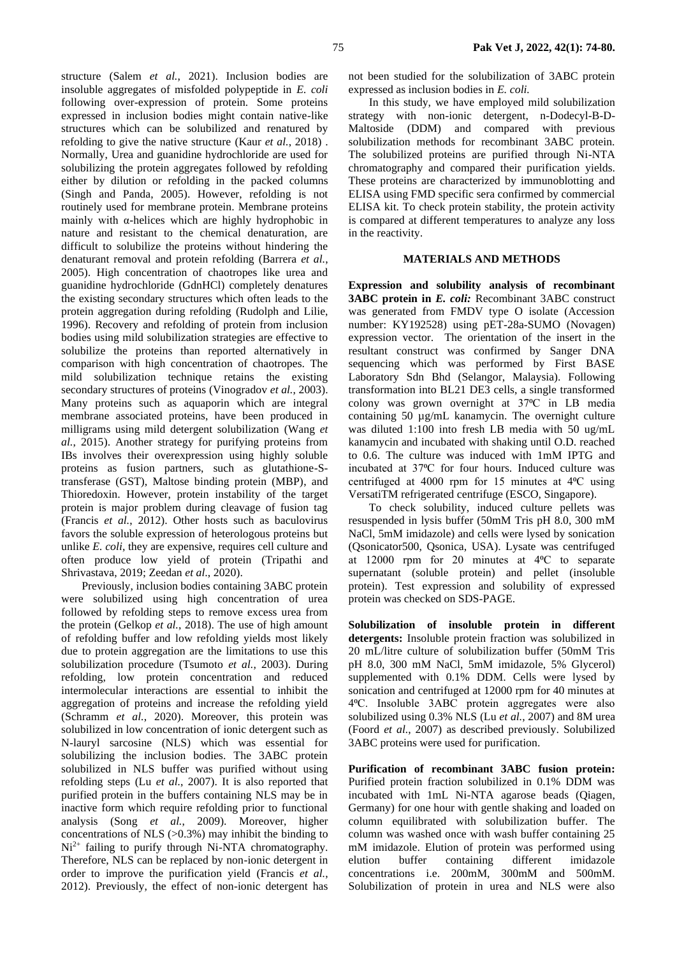structure (Salem *et al.*[, 2021\)](#page-6-7). Inclusion bodies are insoluble aggregates of misfolded polypeptide in *E. coli* following over-expression of protein. Some proteins expressed in inclusion bodies might contain native-like structures which can be solubilized and renatured by refolding to give the native structure (Kaur *et al.*[, 2018\)](#page-6-8) . Normally, Urea and guanidine hydrochloride are used for solubilizing the protein aggregates followed by refolding either by dilution or refolding in the packed columns [\(Singh and Panda, 2005\)](#page-6-9). However, refolding is not routinely used for membrane protein. Membrane proteins mainly with α-helices which are highly hydrophobic in nature and resistant to the chemical denaturation, are difficult to solubilize the proteins without hindering the denaturant removal and protein refolding [\(Barrera](#page-6-10) *et al.*, [2005\)](#page-6-10). High concentration of chaotropes like urea and guanidine hydrochloride (GdnHCl) completely denatures the existing secondary structures which often leads to the protein aggregation during refolding [\(Rudolph and Lilie,](#page-6-11)  [1996\)](#page-6-11). Recovery and refolding of protein from inclusion bodies using mild solubilization strategies are effective to solubilize the proteins than reported alternatively in comparison with high concentration of chaotropes. The mild solubilization technique retains the existing secondary structures of proteins [\(Vinogradov](#page-6-12) *et al.*, 2003). Many proteins such as aquaporin which are integral membrane associated proteins, have been produced in milligrams using mild detergent solubilization [\(Wang](#page-6-13) *et al.*[, 2015\)](#page-6-13). Another strategy for purifying proteins from IBs involves their overexpression using highly soluble proteins as fusion partners, such as glutathione-Stransferase (GST), Maltose binding protein (MBP), and Thioredoxin. However, protein instability of the target protein is major problem during cleavage of fusion tag [\(Francis](#page-6-14) *et al.*, 2012). Other hosts such as baculovirus favors the soluble expression of heterologous proteins but unlike *E. coli*, they are expensive, requires cell culture and often produce low yield of protein [\(Tripathi and](#page-6-15)  [Shrivastava, 2019;](#page-6-15) Zeedan *et al*., 2020).

Previously, inclusion bodies containing 3ABC protein were solubilized using high concentration of urea followed by refolding steps to remove excess urea from the protein [\(Gelkop](#page-6-4) *et al.*, 2018). The use of high amount of refolding buffer and low refolding yields most likely due to protein aggregation are the limitations to use this solubilization procedure [\(Tsumoto](#page-6-16) *et al.*, 2003). During refolding, low protein concentration and reduced intermolecular interactions are essential to inhibit the aggregation of proteins and increase the refolding yield [\(Schramm](#page-6-17) *et al.*, 2020). Moreover, this protein was solubilized in low concentration of ionic detergent such as N-lauryl sarcosine (NLS) which was essential for solubilizing the inclusion bodies. The 3ABC protein solubilized in NLS buffer was purified without using refolding steps (Lu *et al.*[, 2007\)](#page-6-3). It is also reported that purified protein in the buffers containing NLS may be in inactive form which require refolding prior to functional analysis (Song *et al.*[, 2009\)](#page-6-18). Moreover, higher concentrations of NLS  $(>0.3\%)$  may inhibit the binding to  $Ni<sup>2+</sup>$  failing to purify through Ni-NTA chromatography. Therefore, NLS can be replaced by non-ionic detergent in order to improve the purification yield [\(Francis](#page-6-14) *et al.*, [2012\)](#page-6-14). Previously, the effect of non-ionic detergent has

not been studied for the solubilization of 3ABC protein expressed as inclusion bodies in *E. coli.*

In this study, we have employed mild solubilization strategy with non-ionic detergent, n-Dodecyl-B-D-Maltoside (DDM) and compared with previous solubilization methods for recombinant 3ABC protein. The solubilized proteins are purified through Ni-NTA chromatography and compared their purification yields. These proteins are characterized by immunoblotting and ELISA using FMD specific sera confirmed by commercial ELISA kit. To check protein stability, the protein activity is compared at different temperatures to analyze any loss in the reactivity.

# **MATERIALS AND METHODS**

**Expression and solubility analysis of recombinant 3ABC protein in** *E. coli:* Recombinant 3ABC construct was generated from FMDV type O isolate (Accession number: KY192528) using pET-28a-SUMO (Novagen) expression vector. The orientation of the insert in the resultant construct was confirmed by Sanger DNA sequencing which was performed by First BASE Laboratory Sdn Bhd (Selangor, Malaysia). Following transformation into BL21 DE3 cells, a single transformed colony was grown overnight at 37°C in LB media containing 50 µg/mL kanamycin. The overnight culture was diluted 1:100 into fresh LB media with 50 ug/mL kanamycin and incubated with shaking until O.D. reached to 0.6. The culture was induced with 1mM IPTG and incubated at 37°C for four hours. Induced culture was centrifuged at 4000 rpm for 15 minutes at 4⁰C using VersatiTM refrigerated centrifuge (ESCO, Singapore).

To check solubility, induced culture pellets was resuspended in lysis buffer (50mM Tris pH 8.0, 300 mM NaCl, 5mM imidazole) and cells were lysed by sonication (Qsonicator500, Qsonica, USA). Lysate was centrifuged at 12000 rpm for 20 minutes at 4⁰C to separate supernatant (soluble protein) and pellet (insoluble protein). Test expression and solubility of expressed protein was checked on SDS-PAGE.

**Solubilization of insoluble protein in different detergents:** Insoluble protein fraction was solubilized in 20 mL/litre culture of solubilization buffer (50mM Tris pH 8.0, 300 mM NaCl, 5mM imidazole, 5% Glycerol) supplemented with 0.1% DDM. Cells were lysed by sonication and centrifuged at 12000 rpm for 40 minutes at 4⁰C. Insoluble 3ABC protein aggregates were also solubilized using 0.3% NLS (Lu *et al.*[, 2007\)](#page-6-3) and 8M urea (Foord *et al.*[, 2007\)](#page-6-19) as described previously. Solubilized 3ABC proteins were used for purification.

**Purification of recombinant 3ABC fusion protein:** Purified protein fraction solubilized in 0.1% DDM was incubated with 1mL Ni-NTA agarose beads (Qiagen, Germany) for one hour with gentle shaking and loaded on column equilibrated with solubilization buffer. The column was washed once with wash buffer containing 25 mM imidazole. Elution of protein was performed using elution buffer containing different imidazole concentrations i.e. 200mM, 300mM and 500mM. Solubilization of protein in urea and NLS were also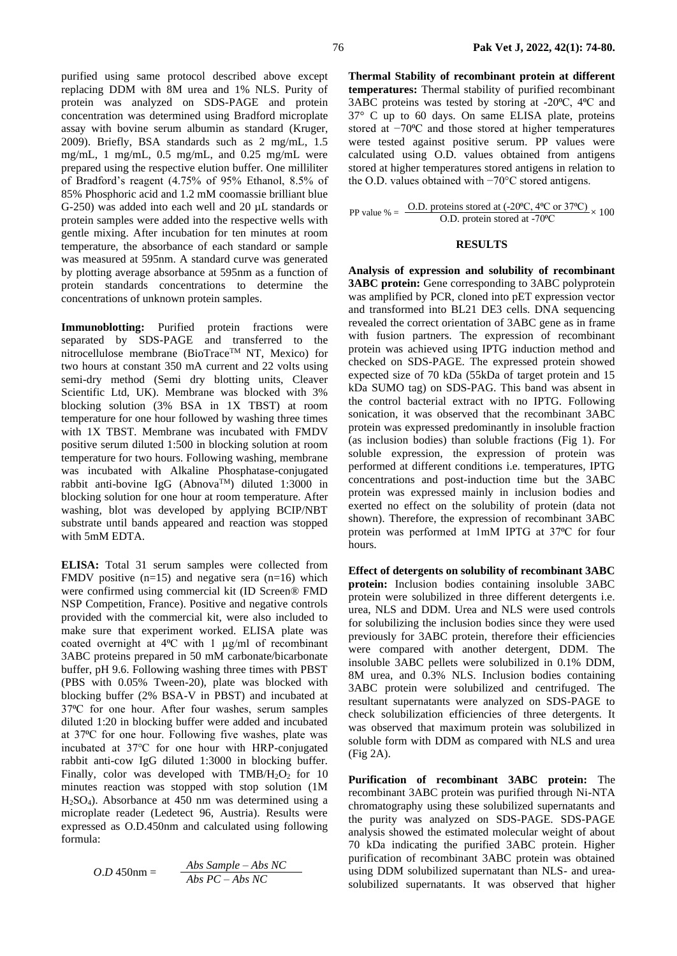purified using same protocol described above except replacing DDM with 8M urea and 1% NLS. Purity of protein was analyzed on SDS-PAGE and protein concentration was determined using Bradford microplate assay with bovine serum albumin as standard [\(Kruger,](#page-6-20)  [2009\)](#page-6-20). Briefly, BSA standards such as 2 mg/mL, 1.5 mg/mL, 1 mg/mL, 0.5 mg/mL, and 0.25 mg/mL were prepared using the respective elution buffer. One milliliter of Bradford's reagent (4.75% of 95% Ethanol, 8.5% of 85% Phosphoric acid and 1.2 mM coomassie brilliant blue G-250) was added into each well and 20 µL standards or protein samples were added into the respective wells with gentle mixing. After incubation for ten minutes at room temperature, the absorbance of each standard or sample was measured at 595nm. A standard curve was generated by plotting average absorbance at 595nm as a function of protein standards concentrations to determine the concentrations of unknown protein samples.

**Immunoblotting:** Purified protein fractions were separated by SDS-PAGE and transferred to the nitrocellulose membrane (BioTrace<sup>TM</sup> NT, Mexico) for two hours at constant 350 mA current and 22 volts using semi-dry method (Semi dry blotting units, Cleaver Scientific Ltd, UK). Membrane was blocked with 3% blocking solution (3% BSA in 1X TBST) at room temperature for one hour followed by washing three times with 1X TBST. Membrane was incubated with FMDV positive serum diluted 1:500 in blocking solution at room temperature for two hours. Following washing, membrane was incubated with Alkaline Phosphatase-conjugated rabbit anti-bovine IgG (AbnovaTM) diluted 1:3000 in blocking solution for one hour at room temperature. After washing, blot was developed by applying BCIP/NBT substrate until bands appeared and reaction was stopped with 5mM EDTA.

**ELISA:** Total 31 serum samples were collected from FMDV positive  $(n=15)$  and negative sera  $(n=16)$  which were confirmed using commercial kit (ID Screen® FMD NSP Competition, France). Positive and negative controls provided with the commercial kit, were also included to make sure that experiment worked. ELISA plate was coated overnight at  $4^{\circ}$ C with 1  $\mu$ g/ml of recombinant 3ABC proteins prepared in 50 mM carbonate/bicarbonate buffer, pH 9.6. Following washing three times with PBST (PBS with 0.05% Tween-20), plate was blocked with blocking buffer (2% BSA-V in PBST) and incubated at 37°C for one hour. After four washes, serum samples diluted 1:20 in blocking buffer were added and incubated at 37°C for one hour. Following five washes, plate was incubated at 37℃ for one hour with HRP-conjugated rabbit anti-cow IgG diluted 1:3000 in blocking buffer. Finally, color was developed with  $TMB/H<sub>2</sub>O<sub>2</sub>$  for 10 minutes reaction was stopped with stop solution (1M H2SO4). Absorbance at 450 nm was determined using a microplate reader (Ledetect 96, Austria). Results were expressed as O.D.450nm and calculated using following formula:

$$
O.D 450 \text{nm} = \frac{Abs \, Sample - Abs \, NC}{Abs \, PC - Abs \, NC}
$$

**Thermal Stability of recombinant protein at different temperatures:** Thermal stability of purified recombinant 3ABC proteins was tested by storing at -20 $^{\circ}$ C, 4 $^{\circ}$ C and 37° C up to 60 days. On same ELISA plate, proteins stored at −70°C and those stored at higher temperatures were tested against positive serum. PP values were calculated using O.D. values obtained from antigens stored at higher temperatures stored antigens in relation to the O.D. values obtained with −70°C stored antigens.

PP value % =  $\frac{\text{O.D. proteins stored at } (-20^{\circ}\text{C}, 4^{\circ}\text{C or } 37^{\circ}\text{C})}{\text{O.D. protein stored at } -70^{\circ}\text{C}} \times 100$ 

#### **RESULTS**

**Analysis of expression and solubility of recombinant 3ABC protein:** Gene corresponding to 3ABC polyprotein was amplified by PCR, cloned into pET expression vector and transformed into BL21 DE3 cells. DNA sequencing revealed the correct orientation of 3ABC gene as in frame with fusion partners. The expression of recombinant protein was achieved using IPTG induction method and checked on SDS-PAGE. The expressed protein showed expected size of 70 kDa (55kDa of target protein and 15 kDa SUMO tag) on SDS-PAG. This band was absent in the control bacterial extract with no IPTG. Following sonication, it was observed that the recombinant 3ABC protein was expressed predominantly in insoluble fraction (as inclusion bodies) than soluble fractions (Fig 1). For soluble expression, the expression of protein was performed at different conditions i.e. temperatures, IPTG concentrations and post-induction time but the 3ABC protein was expressed mainly in inclusion bodies and exerted no effect on the solubility of protein (data not shown). Therefore, the expression of recombinant 3ABC protein was performed at 1mM IPTG at 37<sup>o</sup>C for four hours.

**Effect of detergents on solubility of recombinant 3ABC protein:** Inclusion bodies containing insoluble 3ABC protein were solubilized in three different detergents i.e. urea, NLS and DDM. Urea and NLS were used controls for solubilizing the inclusion bodies since they were used previously for 3ABC protein, therefore their efficiencies were compared with another detergent, DDM. The insoluble 3ABC pellets were solubilized in 0.1% DDM, 8M urea, and 0.3% NLS. Inclusion bodies containing 3ABC protein were solubilized and centrifuged. The resultant supernatants were analyzed on SDS-PAGE to check solubilization efficiencies of three detergents. It was observed that maximum protein was solubilized in soluble form with DDM as compared with NLS and urea (Fig 2A).

**Purification of recombinant 3ABC protein:** The recombinant 3ABC protein was purified through Ni-NTA chromatography using these solubilized supernatants and the purity was analyzed on SDS-PAGE. SDS-PAGE analysis showed the estimated molecular weight of about 70 kDa indicating the purified 3ABC protein. Higher purification of recombinant 3ABC protein was obtained using DDM solubilized supernatant than NLS- and ureasolubilized supernatants. It was observed that higher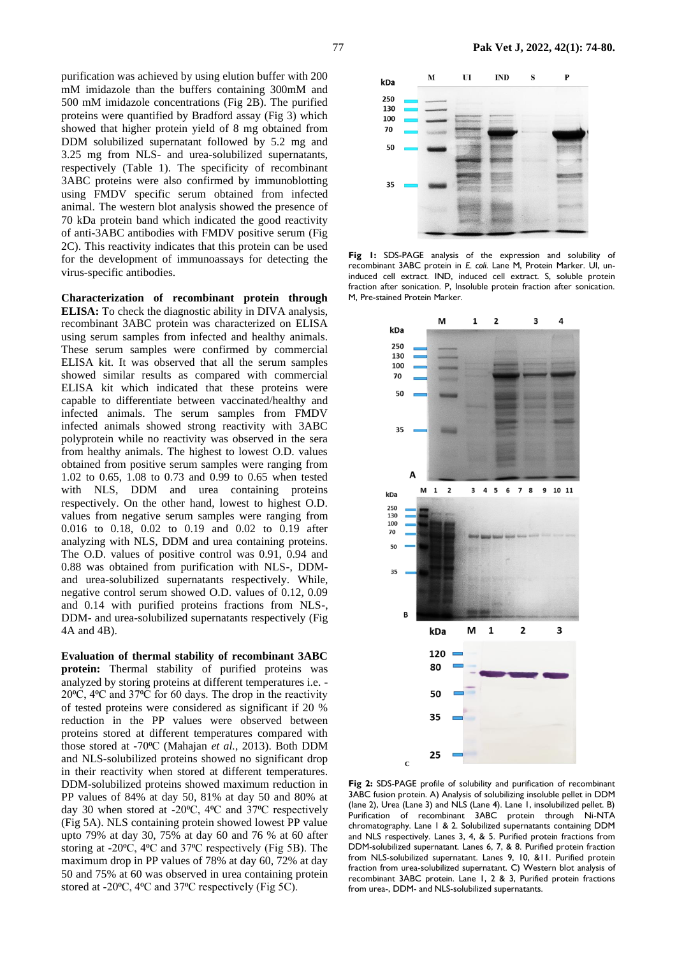purification was achieved by using elution buffer with 200 mM imidazole than the buffers containing 300mM and 500 mM imidazole concentrations (Fig 2B). The purified proteins were quantified by Bradford assay (Fig 3) which showed that higher protein yield of 8 mg obtained from DDM solubilized supernatant followed by 5.2 mg and 3.25 mg from NLS- and urea-solubilized supernatants, respectively (Table 1). The specificity of recombinant 3ABC proteins were also confirmed by immunoblotting using FMDV specific serum obtained from infected animal. The western blot analysis showed the presence of 70 kDa protein band which indicated the good reactivity of anti-3ABC antibodies with FMDV positive serum (Fig 2C). This reactivity indicates that this protein can be used for the development of immunoassays for detecting the virus-specific antibodies.

**Characterization of recombinant protein through ELISA:** To check the diagnostic ability in DIVA analysis, recombinant 3ABC protein was characterized on ELISA using serum samples from infected and healthy animals. These serum samples were confirmed by commercial ELISA kit. It was observed that all the serum samples showed similar results as compared with commercial ELISA kit which indicated that these proteins were capable to differentiate between vaccinated/healthy and infected animals. The serum samples from FMDV infected animals showed strong reactivity with 3ABC polyprotein while no reactivity was observed in the sera from healthy animals. The highest to lowest O.D. values obtained from positive serum samples were ranging from 1.02 to 0.65, 1.08 to 0.73 and 0.99 to 0.65 when tested with NLS, DDM and urea containing proteins respectively. On the other hand, lowest to highest O.D. values from negative serum samples were ranging from 0.016 to 0.18, 0.02 to 0.19 and 0.02 to 0.19 after analyzing with NLS, DDM and urea containing proteins. The O.D. values of positive control was 0.91, 0.94 and 0.88 was obtained from purification with NLS-, DDMand urea-solubilized supernatants respectively. While, negative control serum showed O.D. values of 0.12, 0.09 and 0.14 with purified proteins fractions from NLS-, DDM- and urea-solubilized supernatants respectively (Fig 4A and 4B).

**Evaluation of thermal stability of recombinant 3ABC protein:** Thermal stability of purified proteins was analyzed by storing proteins at different temperatures i.e. - 20⁰C, 4⁰C and 37⁰C for 60 days. The drop in the reactivity of tested proteins were considered as significant if 20 % reduction in the PP values were observed between proteins stored at different temperatures compared with those stored at -70°C [\(Mahajan](#page-6-21) et al., 2013). Both DDM and NLS-solubilized proteins showed no significant drop in their reactivity when stored at different temperatures. DDM-solubilized proteins showed maximum reduction in PP values of 84% at day 50, 81% at day 50 and 80% at day 30 when stored at -20 $^{\circ}$ C, 4 $^{\circ}$ C and 37 $^{\circ}$ C respectively (Fig 5A). NLS containing protein showed lowest PP value upto 79% at day 30, 75% at day 60 and 76 % at 60 after storing at -20<sup>o</sup>C, 4<sup>o</sup>C and 37<sup>o</sup>C respectively (Fig 5B). The maximum drop in PP values of 78% at day 60, 72% at day 50 and 75% at 60 was observed in urea containing protein stored at -20°C, 4°C and 37°C respectively (Fig 5C).



**Fig 1:** SDS-PAGE analysis of the expression and solubility of recombinant 3ABC protein in *E. coli*. Lane M, Protein Marker. UI, uninduced cell extract. IND, induced cell extract. S, soluble protein fraction after sonication. P, Insoluble protein fraction after sonication. M, Pre-stained Protein Marker.



**Fig 2:** SDS-PAGE profile of solubility and purification of recombinant 3ABC fusion protein. A) Analysis of solubilizing insoluble pellet in DDM (lane 2), Urea (Lane 3) and NLS (Lane 4). Lane 1, insolubilized pellet. B) Purification of recombinant 3ABC protein through Ni-NTA chromatography. Lane 1 & 2. Solubilized supernatants containing DDM and NLS respectively. Lanes 3, 4, & 5. Purified protein fractions from DDM-solubilized supernatant. Lanes 6, 7, & 8. Purified protein fraction from NLS-solubilized supernatant. Lanes 9, 10, &11. Purified protein fraction from urea-solubilized supernatant. C) Western blot analysis of recombinant 3ABC protein. Lane 1, 2 & 3, Purified protein fractions from urea-, DDM- and NLS-solubilized supernatants.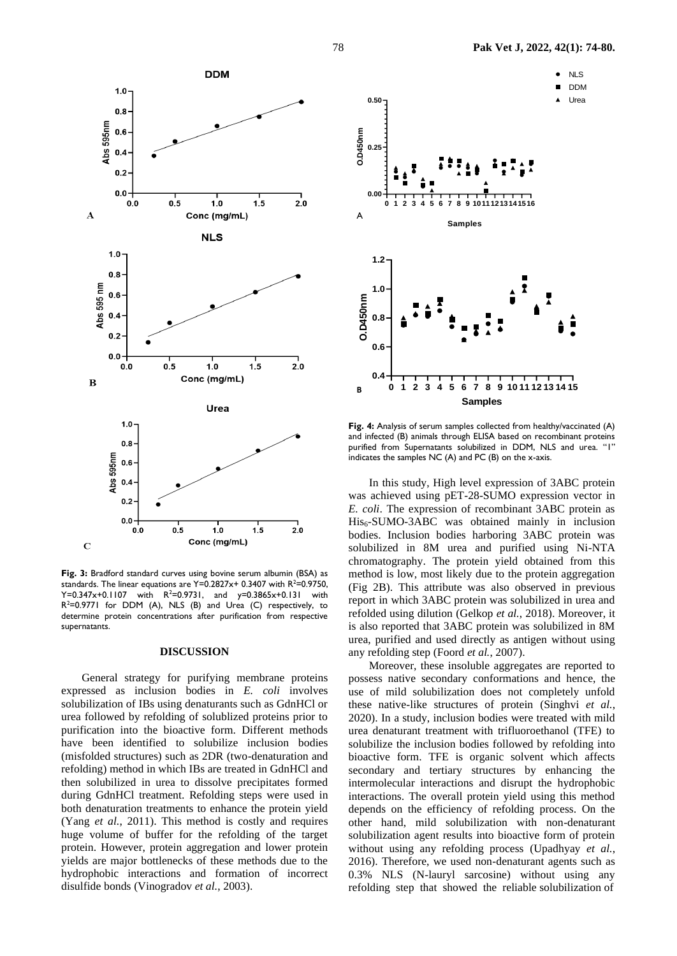

**Fig. 3:** Bradford standard curves using bovine serum albumin (BSA) as standards. The linear equations are  $Y=0.2827x+0.3407$  with  $R^2=0.9750$ ,  $Y=0.347x+0.1107$  with  $R^2=0.9731$ , and  $y=0.3865x+0.131$  with  $R^2$ =0.9771 for DDM (A), NLS (B) and Urea (C) respectively, to determine protein concentrations after purification from respective supernatants.

#### **DISCUSSION**

General strategy for purifying membrane proteins expressed as inclusion bodies in *E. coli* involves solubilization of IBs using denaturants such as GdnHCl or urea followed by refolding of solublized proteins prior to purification into the bioactive form. Different methods have been identified to solubilize inclusion bodies (misfolded structures) such as 2DR (two-denaturation and refolding) method in which IBs are treated in GdnHCl and then solubilized in urea to dissolve precipitates formed during GdnHCl treatment. Refolding steps were used in both denaturation treatments to enhance the protein yield (Yang *et al.*, 2011). This method is costly and requires huge volume of buffer for the refolding of the target protein. However, protein aggregation and lower protein yields are major bottlenecks of these methods due to the hydrophobic interactions and formation of incorrect disulfide bonds [\(Vinogradov](#page-6-12) *et al.*, 2003).



**Fig. 4:** Analysis of serum samples collected from healthy/vaccinated (A) and infected (B) animals through ELISA based on recombinant proteins purified from Supernatants solubilized in DDM, NLS and urea. "1" indicates the samples NC (A) and PC (B) on the x-axis.

In this study, High level expression of 3ABC protein was achieved using pET-28-SUMO expression vector in *E. coli*. The expression of recombinant 3ABC protein as His<sub>6</sub>-SUMO-3ABC was obtained mainly in inclusion bodies. Inclusion bodies harboring 3ABC protein was solubilized in 8M urea and purified using Ni-NTA chromatography. The protein yield obtained from this method is low, most likely due to the protein aggregation (Fig 2B). This attribute was also observed in previous report in which 3ABC protein was solubilized in urea and refolded using dilution [\(Gelkop](#page-6-4) *et al.*, 2018). Moreover, it is also reported that 3ABC protein was solubilized in 8M urea, purified and used directly as antigen without using any refolding step (Foord *et al.*[, 2007\)](#page-6-19).

Moreover, these insoluble aggregates are reported to possess native secondary conformations and hence, the use of mild solubilization does not completely unfold these native-like structures of protein [\(Singhvi](#page-6-22) *et al.*, [2020\)](#page-6-22). In a study, inclusion bodies were treated with mild urea denaturant treatment with trifluoroethanol (TFE) to solubilize the inclusion bodies followed by refolding into bioactive form. TFE is organic solvent which affects secondary and tertiary structures by enhancing the intermolecular interactions and disrupt the hydrophobic interactions. The overall protein yield using this method depends on the efficiency of refolding process. On the other hand, mild solubilization with non-denaturant solubilization agent results into bioactive form of protein without using any refolding process [\(Upadhyay](#page-6-23) *et al.*, [2016\)](#page-6-23). Therefore, we used non-denaturant agents such as 0.3% NLS (N-lauryl sarcosine) without using any refolding step that showed the reliable solubilization of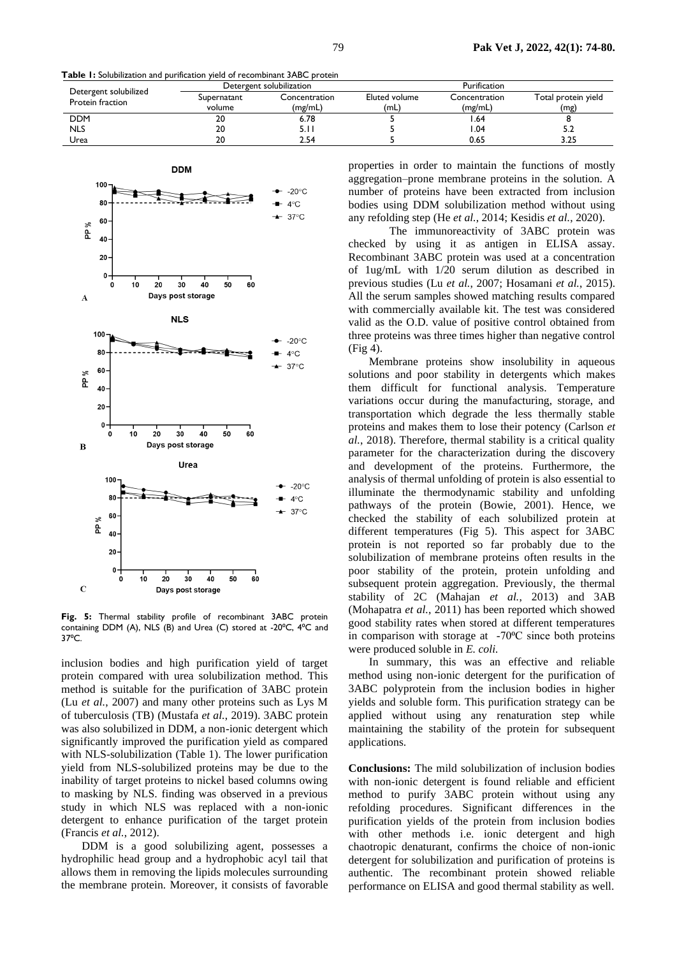**Table 1:** Solubilization and purification yield of recombinant 3ABC protein

| Detergent solubilized<br>Protein fraction | Detergent solubilization |               | Purification  |               |                     |
|-------------------------------------------|--------------------------|---------------|---------------|---------------|---------------------|
|                                           | Supernatant              | Concentration | Eluted volume | Concentration | Total protein yield |
|                                           | volume                   | (mg/mL)       | (mL)          | (mg/mL)       | (mg)                |
| <b>DDM</b>                                | 20                       | 6.78          |               | . 64. ،       |                     |
| <b>NLS</b>                                | 20                       |               |               | . .04         |                     |
| Urea                                      | 20                       | 2.54          |               | 0.65          | 3.25                |



**Fig. 5:** Thermal stability profile of recombinant 3ABC protein containing DDM (A), NLS (B) and Urea (C) stored at -20°C, 4°C and 37°C.

inclusion bodies and high purification yield of target protein compared with urea solubilization method. This method is suitable for the purification of 3ABC protein (Lu *et al.*[, 2007\)](#page-6-3) and many other proteins such as Lys M of tuberculosis (TB) [\(Mustafa](#page-6-24) *et al.*, 2019). 3ABC protein was also solubilized in DDM, a non-ionic detergent which significantly improved the purification yield as compared with NLS-solubilization (Table 1). The lower purification yield from NLS-solubilized proteins may be due to the inability of target proteins to nickel based columns owing to masking by NLS. finding was observed in a previous study in which NLS was replaced with a non-ionic detergent to enhance purification of the target protein [\(Francis](#page-6-14) *et al.*, 2012).

DDM is a good solubilizing agent, possesses a hydrophilic head group and a hydrophobic acyl tail that allows them in removing the lipids molecules surrounding the membrane protein. Moreover, it consists of favorable

properties in order to maintain the functions of mostly aggregation–prone membrane proteins in the solution. A number of proteins have been extracted from inclusion bodies using DDM solubilization method without using any refolding step (He *et al.*[, 2014;](#page-6-25) [Kesidis](#page-6-26) *et al.*, 2020).

The immunoreactivity of 3ABC protein was checked by using it as antigen in ELISA assay. Recombinant 3ABC protein was used at a concentration of 1ug/mL with 1/20 serum dilution as described in previous studies (Lu *et al.*[, 2007;](#page-6-3) [Hosamani](#page-6-6) *et al.*, 2015). All the serum samples showed matching results compared with commercially available kit. The test was considered valid as the O.D. value of positive control obtained from three proteins was three times higher than negative control (Fig 4).

Membrane proteins show insolubility in aqueous solutions and poor stability in detergents which makes them difficult for functional analysis. Temperature variations occur during the manufacturing, storage, and transportation which degrade the less thermally stable proteins and makes them to lose their potency [\(Carlson](#page-6-27) *et al.*[, 2018\)](#page-6-27). Therefore, thermal stability is a critical quality parameter for the characterization during the discovery and development of the proteins. Furthermore, the analysis of thermal unfolding of protein is also essential to illuminate the thermodynamic stability and unfolding pathways of the protein [\(Bowie, 2001\)](#page-6-28). Hence, we checked the stability of each solubilized protein at different temperatures (Fig 5). This aspect for 3ABC protein is not reported so far probably due to the solubilization of membrane proteins often results in the poor stability of the protein, protein unfolding and subsequent protein aggregation. Previously, the thermal stability of 2C [\(Mahajan](#page-6-21) *et al.*, 2013) and 3AB [\(Mohapatra](#page-6-29) *et al.*, 2011) has been reported which showed good stability rates when stored at different temperatures in comparison with storage at  $-70^{\circ}$ C since both proteins were produced soluble in *E. coli.* 

In summary, this was an effective and reliable method using non-ionic detergent for the purification of 3ABC polyprotein from the inclusion bodies in higher yields and soluble form. This purification strategy can be applied without using any renaturation step while maintaining the stability of the protein for subsequent applications.

**Conclusions:** The mild solubilization of inclusion bodies with non-ionic detergent is found reliable and efficient method to purify 3ABC protein without using any refolding procedures. Significant differences in the purification yields of the protein from inclusion bodies with other methods i.e. ionic detergent and high chaotropic denaturant, confirms the choice of non-ionic detergent for solubilization and purification of proteins is authentic. The recombinant protein showed reliable performance on ELISA and good thermal stability as well.